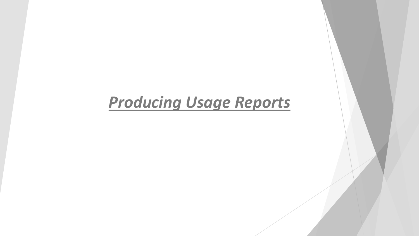## *Producing Usage Reports*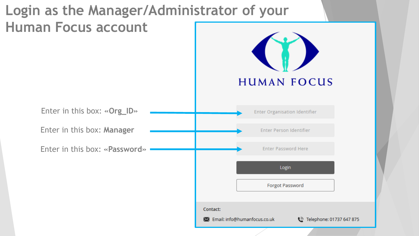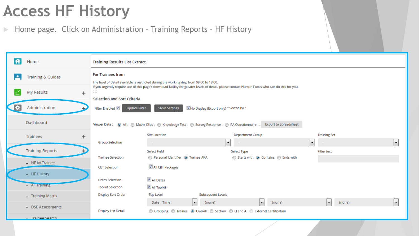## **Access HF History**

Home page. Click on Administration – Training Reports – HF History

|   | Home                         | <b>Training Results List Extract</b>                          |                                                                                               |                                                                                                                                                |                     |    |
|---|------------------------------|---------------------------------------------------------------|-----------------------------------------------------------------------------------------------|------------------------------------------------------------------------------------------------------------------------------------------------|---------------------|----|
| ∙ | <b>Training &amp; Guides</b> | <b>For Trainees from</b>                                      | The level of detail available is restricted during the working day, from 08:00 to 18:00.      |                                                                                                                                                |                     |    |
|   | My Results<br>$\ddot{}$      | $\mathbb{Z} \mathbb{Z}$<br><b>Selection and Sort Criteria</b> |                                                                                               | If you urgently require use of this page's download facility for greater levels of detail, please contact Human Focus who can do this for you. |                     |    |
| ❖ | Administration               | Filter Enabled V<br><b>Update Filter</b>                      | V No Display (Export only) :: Sorted by "<br><b>Store Settings</b>                            |                                                                                                                                                |                     |    |
|   | Dashboard                    |                                                               | Viewer Data: @ All: @ Movie Clips: @ Knowledge Test: @ Survey Response: @ RA Questionnaire :: | <b>Export to Spreadsheet</b>                                                                                                                   |                     |    |
|   | Trainees<br>$\ddot{}$        |                                                               | <b>Site Location</b>                                                                          | <b>Department Group</b>                                                                                                                        | <b>Training Set</b> |    |
|   |                              | <b>Group Selection</b>                                        | $\sim$                                                                                        | $\blacktriangledown$                                                                                                                           | ۰,<br>$\sim$        | H  |
|   | <b>Training Reports</b>      |                                                               | <b>Select Field</b>                                                                           | Select Type                                                                                                                                    | <b>Filter text</b>  |    |
|   | - HF by Trainee              | <b>Trainee Selection</b>                                      | Personal-Identifier <sup>O</sup> Trainee-AKA                                                  | Starts with @ Contains @ Ends with                                                                                                             |                     |    |
|   |                              | <b>CBT Selection</b>                                          | All CBT Packages                                                                              |                                                                                                                                                |                     |    |
|   | - HF History                 |                                                               | All Dates                                                                                     |                                                                                                                                                |                     |    |
|   | - All Iraining               | <b>Dates Selection</b><br><b>Toolkit Selection</b>            | All Toolkit                                                                                   |                                                                                                                                                |                     |    |
|   |                              | <b>Display Sort Order</b>                                     | Subsequent Levels<br><b>Top Level</b>                                                         |                                                                                                                                                |                     |    |
|   | - Training Matrix            |                                                               | Date - Time<br>×.<br>(none)                                                                   | $\blacktriangledown$<br>(none)                                                                                                                 | ∼∣<br>(none)        | l. |
|   | - DSE Assessments            | Display List Detail                                           | ◎ Grouping ◎ Trainee ◎ Overall ◎ Section ◎ Q and A ◎ External Certification                   |                                                                                                                                                |                     |    |
|   | <b>Trainee Search</b>        |                                                               |                                                                                               |                                                                                                                                                |                     |    |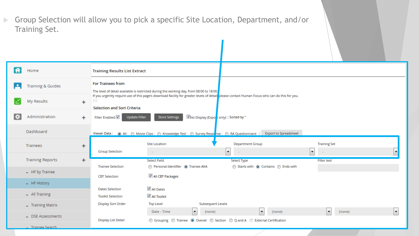Group Selection will allow you to pick a specific Site Location, Department, and/or Training Set.

|    | Home                         | <b>Training Results List Extract</b>                                                                                                                                                                                          |        |  |  |  |  |  |  |  |
|----|------------------------------|-------------------------------------------------------------------------------------------------------------------------------------------------------------------------------------------------------------------------------|--------|--|--|--|--|--|--|--|
|    | <b>Training &amp; Guides</b> | <b>For Trainees from</b><br>The level of detail available is restricted during the working day, from 08:00 to 18:00.                                                                                                          |        |  |  |  |  |  |  |  |
|    | My Results                   | If you urgently require use of this page's download facility for greater levels of detail please contact Human Focus who can do this for you.<br>$\mathbb{Z} \times \mathbb{Z}$<br>$^+$<br><b>Selection and Sort Criteria</b> |        |  |  |  |  |  |  |  |
| ÷. | Administration               | No Display (Expost only) :: Sorted by "<br>Filter Enabled V<br>$\pm$<br><b>Update Filter</b><br><b>Store Settings</b>                                                                                                         |        |  |  |  |  |  |  |  |
|    | Dashboard                    | Viewer Data: (a) All: (b) Movie Clips: (c) Knowledge Test: (c) Survey Response: (c) RA Questionnaire :: Export to Spreadsheet                                                                                                 |        |  |  |  |  |  |  |  |
|    | Trainees                     | <b>Department Group</b><br><b>Training Set</b><br><b>Site Location</b><br>+<br><b>Group Selection</b><br>$\overline{\phantom{a}}$<br>▾<br>$\sim$                                                                              |        |  |  |  |  |  |  |  |
|    | <b>Training Reports</b>      | $\pm$<br><b>Select Field</b><br>Select Type<br><b>Filter text</b><br>Personal-Identifier <sup>O</sup> Trainee-AKA<br>Starts with @ Contains @ Ends with<br><b>Trainee Selection</b>                                           |        |  |  |  |  |  |  |  |
|    | - HF by Trainee              | All CBT Packages<br><b>CBT</b> Selection                                                                                                                                                                                      |        |  |  |  |  |  |  |  |
|    | - HF History                 | √ All Dates<br><b>Dates Selection</b>                                                                                                                                                                                         |        |  |  |  |  |  |  |  |
|    | - All Training               | All Toolkit<br><b>Toolkit Selection</b>                                                                                                                                                                                       |        |  |  |  |  |  |  |  |
|    | - Training Matrix            | <b>Subsequent Levels</b><br><b>Display Sort Order</b><br><b>Top Level</b>                                                                                                                                                     |        |  |  |  |  |  |  |  |
|    | - DSE Assessments            | Date - Time<br>▾<br>(none)<br>(none)<br>$\overline{\phantom{a}}$<br>◎ Grouping ◎ Trainee ◎ Overall ◎ Section ◎ Q and A ◎ External Certification<br>Display List Detail                                                        | (none) |  |  |  |  |  |  |  |
|    | <b>Trainee Search</b>        |                                                                                                                                                                                                                               |        |  |  |  |  |  |  |  |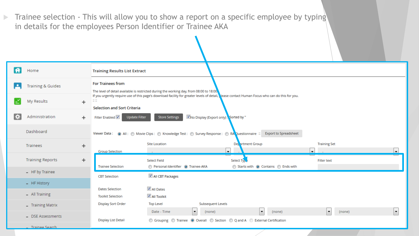Trainee selection - This will allow you to show a report on a specific employee by typing in details for the employees Person Identifier or Trainee AKA

| A  | Home                           |           | <b>Training Results List Extract</b>               |                                                                                                                                                                                                                            |                                                   |                                                 |                          |  |  |  |  |  |
|----|--------------------------------|-----------|----------------------------------------------------|----------------------------------------------------------------------------------------------------------------------------------------------------------------------------------------------------------------------------|---------------------------------------------------|-------------------------------------------------|--------------------------|--|--|--|--|--|
|    | <b>Training &amp; Guides</b>   |           | <b>For Trainees from</b>                           | The level of detail available is restricted during the working day, from 08:00 to 18:00,                                                                                                                                   |                                                   |                                                 |                          |  |  |  |  |  |
|    | My Results                     | $\ddot{}$ | $\mathbb{Z} \, \mathbb{Z}$                         | If you urgently require use of this page's download facility for greater levels of detail, lease contact Human Focus who can do this for you.<br><b>Selection and Sort Criteria</b>                                        |                                                   |                                                 |                          |  |  |  |  |  |
| ¦⊅ | Administration                 | $\pm$     | Filter Enabled V                                   | V No Display (Export only) & Sorted by "<br><b>Update Filter</b><br><b>Store Settings</b><br>Viewer Data: (a) All: (b) Movie Clips: (c) Knowledge Test: (c) Survey Response: (c) RA Questionnaire :: Export to Spreadsheet |                                                   |                                                 |                          |  |  |  |  |  |
|    | Dashboard                      |           |                                                    |                                                                                                                                                                                                                            |                                                   |                                                 |                          |  |  |  |  |  |
|    | Trainees                       | $\ddot{}$ | <b>Group Selection</b>                             | <b>Site Location</b>                                                                                                                                                                                                       | De artment Group<br>$\mathbf{F}$                  | <b>Training Set</b><br>$\overline{\phantom{a}}$ | $\cdot$                  |  |  |  |  |  |
|    | <b>Training Reports</b>        | $\pm$     | <b>Trainee Selection</b>                           | <b>Select Field</b><br>Personal-Identifier <sup>O</sup> Trainee-AKA                                                                                                                                                        | Select Type<br>Starts with @ Contains @ Ends with | <b>Filter text</b>                              |                          |  |  |  |  |  |
|    | - HF by Trainee                |           | <b>CBT Selection</b>                               | All CBT Packages                                                                                                                                                                                                           |                                                   |                                                 |                          |  |  |  |  |  |
|    | - HF History                   |           |                                                    |                                                                                                                                                                                                                            |                                                   |                                                 |                          |  |  |  |  |  |
|    | - All Training                 |           | <b>Dates Selection</b><br><b>Toolkit Selection</b> | √ All Dates<br>All Toolkit                                                                                                                                                                                                 |                                                   |                                                 |                          |  |  |  |  |  |
|    | $\overline{-}$ Training Matrix |           | <b>Display Sort Order</b>                          | <b>Top Level</b><br>Subsequent Levels                                                                                                                                                                                      |                                                   |                                                 |                          |  |  |  |  |  |
|    | - DSE Assessments              |           | <b>Display List Detail</b>                         | Date - Time<br>▾<br>(none)<br>◎ Grouping ◎ Trainee ◎ Overall ◎ Section ◎ Q and A ◎ External Certification                                                                                                                  | ▾<br>(none)                                       | (none)<br>$\blacksquare$                        | $\overline{\phantom{a}}$ |  |  |  |  |  |
|    | Trainee Search                 |           |                                                    |                                                                                                                                                                                                                            |                                                   |                                                 |                          |  |  |  |  |  |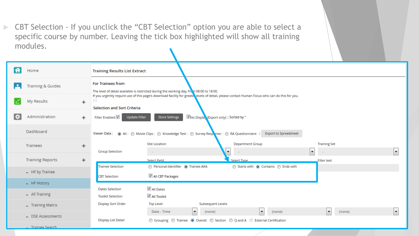CBT Selection - If you unclick the "CBT Selection" option you are able to select a specific course by number. Leaving the tick box highlighted will show all training modules.

|   | Home                                 | <b>Training Results List Extract</b>               |                                                                                                                                               |    |  |  |  |  |  |  |
|---|--------------------------------------|----------------------------------------------------|-----------------------------------------------------------------------------------------------------------------------------------------------|----|--|--|--|--|--|--|
|   | <b>Training &amp; Guides</b>         | <b>For Trainees from</b>                           | The level of detail available is restricted during the working day, from 08:00 to 18:00.                                                      |    |  |  |  |  |  |  |
|   | My Results<br>$\ddot{}$              | HH.<br><b>Selection and Sort Criteria</b>          | If you urgently require use of this page's download facility for greate levels of detail, please contact Human Focus who can do this for you. |    |  |  |  |  |  |  |
| ÷ | Administration<br>$\pm$              | Filter Enabled V<br><b>Update Filter</b>           | No Displa (Export only) :: Sorted by "<br><b>Store Settings</b>                                                                               |    |  |  |  |  |  |  |
|   | Dashboard                            |                                                    | Viewer Data: (a) All: (b) Movie Clips: (c) Knowledge Test: (c) Survey Resparse: (c) RA Questionnaire :: Export to Spreadsheet                 |    |  |  |  |  |  |  |
|   | Trainees<br>$\ddot{}$                | <b>Group Selection</b>                             | Department Group<br><b>Training Set</b><br><b>Site Location</b><br>÷<br>$\sim$                                                                | l. |  |  |  |  |  |  |
|   | <b>Training Reports</b><br>$\ddot{}$ |                                                    | Select Field<br>Select Type<br>Filter text                                                                                                    |    |  |  |  |  |  |  |
|   | - HF by Trainee                      | <b>Trainee Selection</b><br><b>CBT</b> Selection   | Personal-Identifier <sup>O</sup> Trainee-AKA<br>Starts with @ Contains @ Ends with<br>All CBT Packages                                        |    |  |  |  |  |  |  |
|   | - HF History                         |                                                    |                                                                                                                                               |    |  |  |  |  |  |  |
|   | - All Training                       | <b>Dates Selection</b><br><b>Toolkit Selection</b> | All Dates<br>All Toolkit                                                                                                                      |    |  |  |  |  |  |  |
|   | - Training Matrix                    | <b>Display Sort Order</b>                          | <b>Subsequent Levels</b><br><b>Top Level</b>                                                                                                  |    |  |  |  |  |  |  |
|   | - DSE Assessments                    | Display List Detail                                | Date - Time<br>(none)<br>(none)<br>(none)<br>×.<br>▼<br>◎ Grouping ◎ Trainee ◎ Overall ◎ Section ◎ Q and A ◎ External Certification           |    |  |  |  |  |  |  |
|   | . Trainee Search                     |                                                    |                                                                                                                                               |    |  |  |  |  |  |  |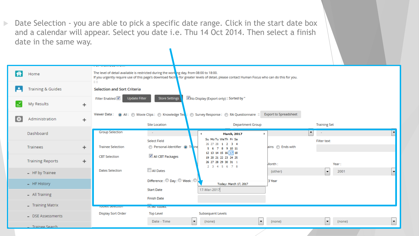Date Selection - you are able to pick a specific date range. Click in the start date box and a calendar will appear. Select you date i.e. Thu 14 Oct 2014. Then select a finish date in the same way.

|    | Home                                 | $\mathbb{Z} \times \mathbb{Z}$     | The level of detail available is restricted during the working day, from 08:00 to 18:00. | If you urgently require use of this page's download facility for greater levels of detail, please contact Human Focus who can do this for you. |                              |                                |   |  |  |  |  |  |  |
|----|--------------------------------------|------------------------------------|------------------------------------------------------------------------------------------|------------------------------------------------------------------------------------------------------------------------------------------------|------------------------------|--------------------------------|---|--|--|--|--|--|--|
|    | <b>Training &amp; Guides</b>         | <b>Selection and Sort Criteria</b> | Update Filter<br><b>Store Settings</b><br>Mo Display (Export only) :: Sorted by "        |                                                                                                                                                |                              |                                |   |  |  |  |  |  |  |
|    | My Results<br>$\ddot{}$              | Filter Enabled V                   |                                                                                          |                                                                                                                                                |                              |                                |   |  |  |  |  |  |  |
| F. | Administration<br>$\ddot{}$          |                                    | <b>Site Location</b>                                                                     | Viewer Data : (a) All : (b) Movie Clips : (c) Knowledge Tes : (c) Survey Response : (c) RA Questionnaire ::<br><b>Department Group</b>         | <b>Export to Spreadsheet</b> | <b>Training Set</b>            |   |  |  |  |  |  |  |
|    | Dashboard                            | <b>Group Selection</b>             | Кb,                                                                                      | <b>March, 2017</b><br>Su Mo Tu We Th Fr Sa                                                                                                     | ▾                            | $\sim 100$                     |   |  |  |  |  |  |  |
|    | Trainees<br>$\ddot{}$                | <b>Trainee Selection</b>           | <b>Select Field</b><br>Personal-Identifier (a) Trind                                     | 26 27 28 1 2 3 4<br>5 6 7 8 9 10 11<br>12 13 14 15 16 17 18                                                                                    | ains <b>C</b> Ends with      | <b>Filter text</b>             |   |  |  |  |  |  |  |
|    | <b>Training Reports</b><br>$\ddot{}$ | <b>CBT</b> Selection               | All CBT Packages                                                                         | 19 20 21 22 23 24 25<br>26 27 28 29 30 31 1<br>2 3 4 5 6 7 8                                                                                   | Month:                       | Year:                          |   |  |  |  |  |  |  |
|    | - HF by Trainee                      | <b>Dates Selection</b>             | All Dates                                                                                |                                                                                                                                                | (other)                      | $\left  \cdot \right $<br>2001 |   |  |  |  |  |  |  |
|    | - HF History                         |                                    | Difference : $\bigcirc$ Day : $\bigcirc$ Week : $\bigcirc$ ,                             | Today: March 17, 2017                                                                                                                          | 3 Year                       |                                |   |  |  |  |  |  |  |
|    | - All Training                       |                                    | <b>Start Date</b><br><b>Finish Date</b>                                                  | 17-Mar-2017                                                                                                                                    |                              |                                |   |  |  |  |  |  |  |
|    | $-$ Training Matrix                  | <b>NUMBER CONT</b>                 | <b>ESTADE LOUINIL</b>                                                                    |                                                                                                                                                |                              |                                |   |  |  |  |  |  |  |
|    | - DSE Assessments                    | <b>Display Sort Order</b>          | <b>Top Level</b><br>Date - Time                                                          | Subsequent Levels<br>$\blacktriangledown$<br>$\overline{\phantom{a}}$                                                                          |                              | $\blacktriangledown$<br>(none) | H |  |  |  |  |  |  |
|    | <b>Trainee Search</b>                |                                    |                                                                                          | (none)                                                                                                                                         | (none)                       |                                |   |  |  |  |  |  |  |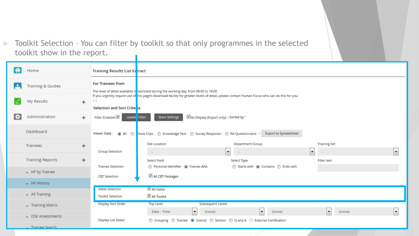Toolkit Selection - You can filter by toolkit so that only programmes in the selected toolkit show in the report.

|   | Home                         | <b>Training Results List Ex tract</b>                                  |                                                                                                                                                |                                                   |                                                 |                          |
|---|------------------------------|------------------------------------------------------------------------|------------------------------------------------------------------------------------------------------------------------------------------------|---------------------------------------------------|-------------------------------------------------|--------------------------|
|   | <b>Training &amp; Guides</b> | <b>For Trainees from</b>                                               | The level of detail available is restricted during the working day, from 08:00 to 18:00.                                                       |                                                   |                                                 |                          |
|   | My Results                   | $\mathbb{Z} \, \mathbb{Z}$<br>$\ddot{}$<br>Selection and Sort Crite ia | If you urgently require use of this page's download facility for greater levels of detail, please contact Human Focus who can do this for you. |                                                   |                                                 |                          |
| Đ | Administration               | Filter Enabled V<br>Updat<br>$+$<br>Filter                             | <b>Store Settings</b><br>No Display (Export only) :: Sorted by "                                                                               |                                                   |                                                 |                          |
|   | Dashboard                    |                                                                        | Viewer Data: @ All: @ Aovie Clips: @ Knowledge Test: @ Survey Response: @ RA Questionnaire :: Export to Spreadsheet                            |                                                   |                                                 |                          |
|   | Trainees                     | $\ddot{}$<br><b>Group Selection</b>                                    | <b>Site Location</b><br>$\sim$                                                                                                                 | <b>Department Group</b><br>×.                     | <b>Training Set</b><br>$\overline{\phantom{a}}$ | $\overline{\phantom{a}}$ |
|   | <b>Training Reports</b>      | $\ddot{}$<br><b>Trainee Selection</b>                                  | <b>Select Field</b><br>Personal-Identifier @ Trainee-AKA                                                                                       | Select Type<br>Starts with @ Contains @ Ends with | <b>Filter text</b>                              |                          |
|   | - HF by Trainee              | <b>CBT</b> Selection                                                   | All CBT Packages                                                                                                                               |                                                   |                                                 |                          |
|   | - HF History                 |                                                                        |                                                                                                                                                |                                                   |                                                 |                          |
|   | - All Training               | <b>Dates Selection</b><br><b>Toolkit Selection</b>                     | All Dates<br>All Toolkit                                                                                                                       |                                                   |                                                 |                          |
|   | - Training Matrix            | <b>Display Sort Order</b>                                              | <b>Subsequent Levels</b><br><b>Top Level</b>                                                                                                   |                                                   |                                                 |                          |
|   | - DSE Assessments            | Display List Detail                                                    | ×<br>Date - Time<br>(none)<br>◎ Grouping ◎ Trainee ◎ Overall ◎ Section ◎ Q and A ◎ External Certification                                      | $\blacktriangledown$<br>(none)                    | (none)<br>▾┆                                    | $\blacktriangledown$     |
|   | Trainee Search               |                                                                        |                                                                                                                                                |                                                   |                                                 |                          |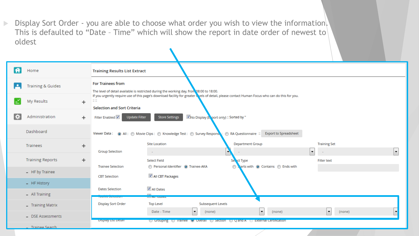**Display Sort Order - you are able to choose what order you wish to view the information.** This is defaulted to "Date - Time" which will show the report in date order of newest to oldest

|    | Home                         |           | <b>Training Results List Extract</b>                                 |                                                                                                                                                |                          |                                    |                              |                                    |  |                          |  |  |
|----|------------------------------|-----------|----------------------------------------------------------------------|------------------------------------------------------------------------------------------------------------------------------------------------|--------------------------|------------------------------------|------------------------------|------------------------------------|--|--------------------------|--|--|
| Р  | <b>Training &amp; Guides</b> |           | <b>For Trainees from</b>                                             | The level of detail available is restricted during the working day, from 08:00 to 18:00.                                                       |                          |                                    |                              |                                    |  |                          |  |  |
|    | My Results                   | $\ddot{}$ | $\mathbb{Z} \times \mathbb{Z}$<br><b>Selection and Sort Criteria</b> | If you urgently require use of this page's download facility for greater lovels of detail, please contact Human Focus who can do this for you. |                          |                                    |                              |                                    |  |                          |  |  |
| P. | Administration               | $+$       | Filter Enabled V                                                     | V No Display ( <mark>A</mark> port only) :: Sorted by "<br><b>Update Filter</b><br><b>Store Settings</b>                                       |                          |                                    |                              |                                    |  |                          |  |  |
|    | Dashboard                    |           |                                                                      | Viewer Data: @ All: @ Movie Clips: @ Knowledge Test: @ Survey Respons                                                                          |                          | RA Questionnaire:                  | <b>Export to Spreadsheet</b> |                                    |  |                          |  |  |
|    | Trainees                     | +         | <b>Group Selection</b>                                               | <b>Site Location</b>                                                                                                                           |                          | <b>Department Group</b>            |                              | <b>Training Set</b><br>۰           |  | $\overline{\phantom{a}}$ |  |  |
|    | <b>Training Reports</b>      | $\ddot{}$ |                                                                      | $\sim$<br><b>Select Field</b>                                                                                                                  |                          | Se, et Type                        |                              | <b>Filter text</b>                 |  |                          |  |  |
|    | - HF by Trainee              |           | <b>Trainee Selection</b><br><b>CBT Selection</b>                     | Personal-Identifier <sup>O</sup> Trainee-AKA<br>All CBT Packages                                                                               |                          | starts with @ Contains @ Ends with |                              |                                    |  |                          |  |  |
|    | - HF History                 |           | <b>Dates Selection</b>                                               | All Dates                                                                                                                                      |                          |                                    |                              |                                    |  |                          |  |  |
|    | - All Training               |           | <b>COMMERCIAL CONTRACTOR</b>                                         | <b>CONTINUES OF A STATE</b>                                                                                                                    |                          |                                    |                              |                                    |  |                          |  |  |
|    | - Training Matrix            |           | <b>Display Sort Order</b>                                            | <b>Top Level</b>                                                                                                                               | <b>Subsequent Levels</b> |                                    |                              |                                    |  |                          |  |  |
|    | - DSE Assessments            |           |                                                                      | Date - Time<br>×                                                                                                                               | (none)                   | $\blacktriangledown$               | (none)                       | (none)<br>$\vert \mathbf{v} \vert$ |  |                          |  |  |
|    | <b>Trainee Search</b>        |           | <b>Display List Detail</b>                                           | Grouping trainee of Overall to Section to Q and A to External Certification                                                                    |                          |                                    |                              |                                    |  |                          |  |  |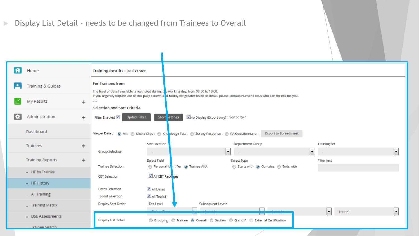## Display List Detail - needs to be changed from Trainees to Overall

 $\mathcal{L}_{\mathcal{A}}$ 

| $\bigoplus$   | Home                                 | <b>Training Results List Extract</b>                                                                                 |                                                                                                                                                |                                                          |
|---------------|--------------------------------------|----------------------------------------------------------------------------------------------------------------------|------------------------------------------------------------------------------------------------------------------------------------------------|----------------------------------------------------------|
| ₽             | <b>Training &amp; Guides</b>         | <b>For Trainees from</b><br>The level of detail available is restricted during the working day, from 08:00 to 18:00. |                                                                                                                                                |                                                          |
|               | My Results<br>$\ddot{}$              | $\mathbb{Z} \times$<br><b>Selection and Sort Criteria</b>                                                            | If you urgently require use of this page's downlo d facility for greater levels of detail, please contact Human Focus who can do this for you. |                                                          |
| $\ddot{\phi}$ | Administration<br>$\ddot{}$          | Filter Enabled V<br>Update Filter                                                                                    | Mo Display (Export only) :: Sorted by "<br>Store settings                                                                                      |                                                          |
|               | Dashboard                            |                                                                                                                      | Viewer Data: @ All: @ Movie Clips: @ Kno Wedge Test: @ Survey Response: @ RA Questionnaire :: Export to Spreadsheet                            |                                                          |
|               | Trainees<br>$\ddot{}$                | <b>Site Location</b><br><b>Group Selection</b><br>$\sim$                                                             | <b>Department Group</b><br>۰.                                                                                                                  | <b>Training Set</b><br>$\ddot{\phantom{1}}$<br>$\bullet$ |
|               | <b>Training Reports</b><br>$\ddot{}$ | <b>Select Field</b><br><b>Trainee Selection</b>                                                                      | Select Type<br>Personal-Id ntifier <sup>O</sup> Trainee-AKA<br>Starts with @ Contains @ Ends with                                              | <b>Filter text</b>                                       |
|               | - HF by Trainee                      | <b>CBT Selection</b>                                                                                                 | All CBT Pack ges                                                                                                                               |                                                          |
|               | - HF History                         |                                                                                                                      |                                                                                                                                                |                                                          |
|               | - All Training                       | All Dates<br><b>Dates Selection</b><br>All Toolkit<br><b>Toolkit Selection</b>                                       |                                                                                                                                                |                                                          |
|               | - Training Matrix                    | <b>Display Sort Order</b><br><b>Top Level</b>                                                                        | Subsequent Levels                                                                                                                              |                                                          |
|               | - DSE Assessments                    | <b>Display List Detail</b>                                                                                           | <b>Tarat</b><br>◎ Grouping ◎ Trainee ◎ Overall ◎ Section ◎ Q and A ◎ External Certification                                                    | $\vert$ –<br>۰<br>(none)                                 |
|               | Trainee Search                       |                                                                                                                      |                                                                                                                                                |                                                          |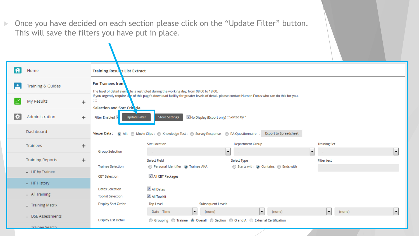**Dimetable 20 Step 20 A 20 Step 20 Step 20 Step 20 Step 20 Step 20 Step 20 Step 20 Step 20 Step 20 Step 20 Step 30 Step 20 Step 20 Step 20 Step 20 Step 20 Step 20 Step 20 Step 20 Step 20 Step 20 Step 20 Step 20 Step 20 Ste** This will save the filters you have put in place.

| A  | Home                         | <b>Training Results List Extract</b>                          |                                                                                                                              |                                                                                                                                                |                                             |    |  |  |  |  |
|----|------------------------------|---------------------------------------------------------------|------------------------------------------------------------------------------------------------------------------------------|------------------------------------------------------------------------------------------------------------------------------------------------|---------------------------------------------|----|--|--|--|--|
| ٠  | <b>Training &amp; Guides</b> | <b>For Trainees from</b>                                      | The level of detail available is restricted during the working day, from 08:00 to 18:00.                                     |                                                                                                                                                |                                             |    |  |  |  |  |
|    | My Results                   | $\mathbb{Z} \times \mathbb{Z}$<br>Selection and Sort Criteria |                                                                                                                              | If you urgently require une of this page's download facility for greater levels of detail, please contact Human Focus who can do this for you. |                                             |    |  |  |  |  |
| i. | Administration               | $\ddot{}$<br>Filter Enabled                                   | No Display (Export only) :: Sorted by "<br><b>Update Filter</b><br><b>Store Settings</b>                                     |                                                                                                                                                |                                             |    |  |  |  |  |
|    | Dashboard                    |                                                               |                                                                                                                              | Viewer Data: @ All: @ Movie Clips: @ Knowledge Test: @ Survey Response: @ RA Questionnaire :: Export to Spreadsheet                            |                                             |    |  |  |  |  |
|    | Trainees                     | $\ddot{}$<br><b>Group Selection</b>                           | <b>Site Location</b><br>$\sim$                                                                                               | <b>Department Group</b><br>$\blacksquare$                                                                                                      | <b>Training Set</b><br>$\blacktriangledown$ | ×. |  |  |  |  |
|    | <b>Training Reports</b>      | $\ddot{}$                                                     | <b>Select Field</b>                                                                                                          | Select Type                                                                                                                                    | <b>Filter text</b>                          |    |  |  |  |  |
|    | - HF by Trainee              | <b>Trainee Selection</b><br><b>CBT</b> Selection              | Personal-Identifier <sup>O</sup> Trainee-AKA<br>All CBT Packages                                                             | Starts with @ Contains @ Ends with                                                                                                             |                                             |    |  |  |  |  |
|    | - HF History                 |                                                               |                                                                                                                              |                                                                                                                                                |                                             |    |  |  |  |  |
|    | - All Training               | <b>Dates Selection</b><br><b>Toolkit Selection</b>            | All Dates<br>All Toolkit                                                                                                     |                                                                                                                                                |                                             |    |  |  |  |  |
|    | - Training Matrix            | <b>Display Sort Order</b>                                     | <b>Top Level</b><br><b>Subsequent Levels</b>                                                                                 |                                                                                                                                                |                                             |    |  |  |  |  |
|    | - DSE Assessments            | Display List Detail                                           | $\blacktriangledown$<br>Date - Time<br>(none)<br>© Grouping © Trainee © Overall © Section © Q and A © External Certification | $\blacktriangledown$<br>(none)                                                                                                                 | (none)                                      | ×. |  |  |  |  |
|    | Trainee Search               |                                                               |                                                                                                                              |                                                                                                                                                |                                             |    |  |  |  |  |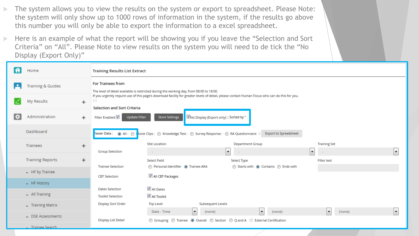- The system allows you to view the results on the system or export to spreadsheet. Please Note: the system will only show up to 1000 rows of information in the system, if the results go above this number you will only be able to export the information to a excel spreadsheet.
- Here is an example of what the report will be showing you if you leave the "Selection and Sort" Criteria" on "All". Please Note to view results on the system you will need to de tick the "No Display (Export Only)"

|   | Home                    |                                         | <b>Training Results List Extract</b> |                                                                                                                                                |                                    |                          |                          |  |  |  |  |  |
|---|-------------------------|-----------------------------------------|--------------------------------------|------------------------------------------------------------------------------------------------------------------------------------------------|------------------------------------|--------------------------|--------------------------|--|--|--|--|--|
|   | Training & Guides       |                                         | <b>For Trainees from</b>             | The level of detail available is restricted during the working day, from 08:00 to 18:00.                                                       |                                    |                          |                          |  |  |  |  |  |
|   | My Results              | $\mathbb{Z} \times \mathbb{Z}$<br>$\pm$ | <b>Selection and Sort Criteria</b>   | If you urgently require use of this page's download facility for greater levels of detail, please contact Human Focus who can do this for you. |                                    |                          |                          |  |  |  |  |  |
| ÷ | Administration          | $+$                                     | Filter Enabled V                     | Mo Display (Export only) :: Sorted by "<br><b>Store Settings</b><br>Update Filter                                                              |                                    |                          |                          |  |  |  |  |  |
|   | Dashboard               |                                         |                                      | <b>Export to Spreadsheet</b>                                                                                                                   |                                    |                          |                          |  |  |  |  |  |
|   | Trainees                | $\pm$                                   |                                      | <b>Site Location</b>                                                                                                                           | <b>Department Group</b>            | <b>Training Set</b>      |                          |  |  |  |  |  |
|   |                         |                                         | <b>Group Selection</b>               | $\sim$                                                                                                                                         | $\mathbf{r}$                       | $\overline{\phantom{a}}$ | $\blacktriangledown$     |  |  |  |  |  |
|   | <b>Training Reports</b> | $\pm$                                   |                                      | <b>Select Field</b>                                                                                                                            | Select Type                        | <b>Filter text</b>       |                          |  |  |  |  |  |
|   |                         |                                         | <b>Trainee Selection</b>             | Personal-Identifier <sup>O</sup> Trainee-AKA                                                                                                   | Starts with @ Contains @ Ends with |                          |                          |  |  |  |  |  |
|   | - HF by Trainee         |                                         | <b>CBT Selection</b>                 | All CBT Packages                                                                                                                               |                                    |                          |                          |  |  |  |  |  |
|   | - HF History            |                                         |                                      |                                                                                                                                                |                                    |                          |                          |  |  |  |  |  |
|   |                         |                                         | <b>Dates Selection</b>               | All Dates                                                                                                                                      |                                    |                          |                          |  |  |  |  |  |
|   | - All Training          |                                         | <b>Toolkit Selection</b>             | All Toolkit                                                                                                                                    |                                    |                          |                          |  |  |  |  |  |
|   | - Training Matrix       |                                         | <b>Display Sort Order</b>            | Subsequent Levels<br><b>Top Level</b>                                                                                                          |                                    |                          |                          |  |  |  |  |  |
|   | - DSE Assessments       |                                         |                                      | Date - Time<br>(none)<br>$\blacktriangledown$                                                                                                  | ▼<br>(none)                        | (none)<br>▾              | $\overline{\phantom{a}}$ |  |  |  |  |  |
|   |                         |                                         | Display List Detail                  | ◎ Grouping ◎ Trainee ◎ Overall ◎ Section ◎ Q and A ◎ External Certification                                                                    |                                    |                          |                          |  |  |  |  |  |
|   | <b>Trainee Search</b>   |                                         |                                      |                                                                                                                                                |                                    |                          |                          |  |  |  |  |  |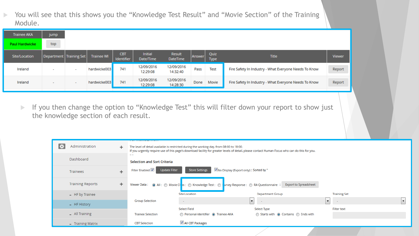▶ You will see that this shows you the "Knowledge Test Result" and "Movie Section" of the Training Module.

| <b>Trainee AKA</b>    | jump                      |        |                   |                                 |                             |                           |        |              |                                                       |               |
|-----------------------|---------------------------|--------|-------------------|---------------------------------|-----------------------------|---------------------------|--------|--------------|-------------------------------------------------------|---------------|
| <b>Paul Hardwicke</b> | top                       |        |                   |                                 |                             |                           |        |              |                                                       |               |
| Site/Location         | Department   Training Set |        | <b>Trainee WI</b> | <b>CBT</b><br><b>Identifier</b> | <b>Initial</b><br>Date/Time | Result<br><b>DateTime</b> | Answer | Quiz<br>Type | <b>Title</b>                                          | <b>Viewer</b> |
| Ireland               | ٠                         | $\sim$ | hardwicke003      | 741                             | 12/09/2016<br>12:29:08      | 12/09/2016<br>14:32:40    | Pass   | <b>Test</b>  | Fire Safety In Industry - What Everyone Needs To Know | Report        |
| Ireland               |                           | $\sim$ | hardwicke003      | 741                             | 12/09/2016<br>12:29:08      | 12/09/2016<br>14:28:30    | Done   | Movie        | Fire Safety In Industry - What Everyone Needs To Know | Report        |

If you then change the option to "Knowledge Test" this will filter down your report to show just the knowledge section of each result.

| Administration<br>÷     | $\div$    | a man an experience and an experi-                     | The level of detail available is restricted during the working day, from 08:00 to 18:00.<br>If you urgently require use of this page's download facility for greater levels of detail, please contact Human Focus who can do this for you. |                                                               |                     |                          |  |  |  |  |  |  |
|-------------------------|-----------|--------------------------------------------------------|--------------------------------------------------------------------------------------------------------------------------------------------------------------------------------------------------------------------------------------------|---------------------------------------------------------------|---------------------|--------------------------|--|--|--|--|--|--|
| Dashboard               |           | $\cdots$<br>$-1$<br><b>Selection and Sort Criteria</b> |                                                                                                                                                                                                                                            |                                                               |                     |                          |  |  |  |  |  |  |
| <b>Trainees</b>         | $\ddot{}$ | Filter Enabled V<br>Update Filter                      | <b>Store Settings</b>                                                                                                                                                                                                                      | MNo Display (Export only) :: Sorted by "                      |                     |                          |  |  |  |  |  |  |
| <b>Training Reports</b> | ÷         |                                                        | <b>Export to Spreadsheet</b><br>Viewer Data: (a) All: (b) Movie Cl ps: (c) Knowledge Test: (c) Lurvey Response: (c) RA Questionnaire:                                                                                                      |                                                               |                     |                          |  |  |  |  |  |  |
| - HF by Trainee         |           |                                                        | <b>Site Location</b>                                                                                                                                                                                                                       | <b>Department Group</b>                                       | <b>Training Set</b> |                          |  |  |  |  |  |  |
| - HF History            |           | <b>Group Selection</b>                                 |                                                                                                                                                                                                                                            | $\mathbf{r}$                                                  | ▾                   | $\overline{\phantom{a}}$ |  |  |  |  |  |  |
| $-$ All Training        |           | <b>Trainee Selection</b>                               | <b>Select Field</b><br>Personal-Identifier (a) Trainee-AKA                                                                                                                                                                                 | Select Type<br>Starts with $\odot$ Contains $\odot$ Ends with | <b>Filter text</b>  |                          |  |  |  |  |  |  |
| - Training Matrix       |           | <b>CBT Selection</b>                                   | All CBT Packages                                                                                                                                                                                                                           |                                                               |                     |                          |  |  |  |  |  |  |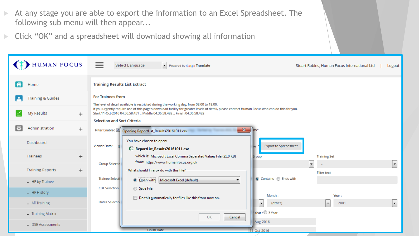At any stage you are able to export the information to an Excel Spreadsheet. The following sub menu will then appear...

Click "OK" and a spreadsheet will download showing all information

|    | <b>HUMAN FOCUS</b>           | $=$<br>Select Language<br>Powered by Google Translate<br>▾<br>Stuart Robins, Human Focus International Ltd                                                                                                                                                                                                                                             | Logout |  |  |  |  |  |
|----|------------------------------|--------------------------------------------------------------------------------------------------------------------------------------------------------------------------------------------------------------------------------------------------------------------------------------------------------------------------------------------------------|--------|--|--|--|--|--|
| A  | Home                         | <b>Training Results List Extract</b>                                                                                                                                                                                                                                                                                                                   |        |  |  |  |  |  |
|    | <b>Training &amp; Guides</b> | <b>For Trainees from</b><br>The level of detail available is restricted during the working day, from 08:00 to 18:00.<br>If you urgently require use of this page's download facility for greater levels of detail, please contact Human Focus who can do this for you.<br>Start:11-Oct-2016 04:36:58.451 :: Middle:04:36:58.482 :: Finish:04:36:58.482 |        |  |  |  |  |  |
|    | My Results<br>$\div$         |                                                                                                                                                                                                                                                                                                                                                        |        |  |  |  |  |  |
| ₹¢ | Administration               | <b>Selection and Sort Criteria</b><br>$\ddot{}$<br>$\mathbf{x}$<br>Filter Enabled<br>Opening ReportList_Results20161011.csv                                                                                                                                                                                                                            |        |  |  |  |  |  |
|    | Dashboard                    | You have chosen to open:<br><b>Export to Spreadsheet</b><br>Viewer Data:<br>岛 ReportList_Results20161011.csv                                                                                                                                                                                                                                           |        |  |  |  |  |  |
|    | Trainees                     | which is: Microsoft Excel Comma Separated Values File (21.0 KB)<br>$\ddot{}$<br><b>Training Set</b><br><b>Group</b><br>from: https://www.humanfocus.org.uk<br><b>Group Selectio</b><br>$\blacktriangledown$                                                                                                                                            |        |  |  |  |  |  |
|    | <b>Training Reports</b>      | $\ddot{}$<br>What should Firefox do with this file?<br><b>Filter text</b>                                                                                                                                                                                                                                                                              |        |  |  |  |  |  |
|    | - HF by Trainee              | ◉ Contains ⓒ Ends with<br><b>Trainee Selecti</b><br>Microsoft Excel (default)<br>O Open with<br>▾                                                                                                                                                                                                                                                      |        |  |  |  |  |  |
|    | - HF History                 | <b>CBT Selection</b><br>Save File<br>Month:<br>Year:                                                                                                                                                                                                                                                                                                   |        |  |  |  |  |  |
|    | $-$ All Training             | Do this automatically for files like this from now on.<br><b>Dates Selectio</b><br>$\overline{\phantom{a}}$<br>(other)<br>$\bar{\mathbf{v}}$<br>2001                                                                                                                                                                                                   |        |  |  |  |  |  |
|    | - Training Matrix            | Year: 3 Year<br>OK<br>Cancel                                                                                                                                                                                                                                                                                                                           |        |  |  |  |  |  |
|    | - DSE Assessments            | -Aug-2016<br><b>Finish Date</b><br>11-Oct-2016                                                                                                                                                                                                                                                                                                         |        |  |  |  |  |  |